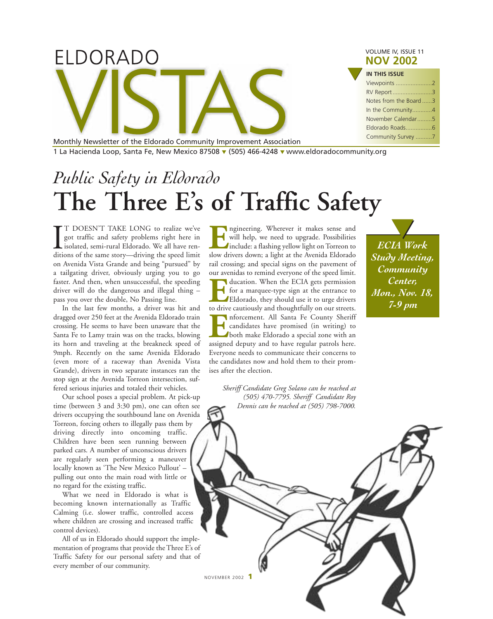| ELDORADO                                                             | VOLUME IV, ISSUE 11<br><b>NOV 2002</b> |
|----------------------------------------------------------------------|----------------------------------------|
|                                                                      | <b>IN THIS ISSUE</b>                   |
|                                                                      | Viewpoints 2                           |
|                                                                      | RV Report3                             |
|                                                                      | Notes from the Board 3                 |
|                                                                      | In the Community4                      |
|                                                                      | November Calendar5                     |
|                                                                      |                                        |
| Monthly Newsletter of the Eldorado Community Improvement Association | Community Survey 7                     |

1 La Hacienda Loop, Santa Fe, New Mexico 87508 ▼ (505) 466-4248 ▼ www.eldoradocommunity.org

# *Public Safety in Eldorado* **The Three E's of Traffic Safety**

I<br>diti T DOESN'T TAKE LONG to realize we've got traffic and safety problems right here in isolated, semi-rural Eldorado. We all have renditions of the same story—driving the speed limit on Avenida Vista Grande and being "pursued" by a tailgating driver, obviously urging you to go faster. And then, when unsuccessful, the speeding driver will do the dangerous and illegal thing – pass you over the double, No Passing line.

In the last few months, a driver was hit and dragged over 250 feet at the Avenida Eldorado train crossing. He seems to have been unaware that the Santa Fe to Lamy train was on the tracks, blowing its horn and traveling at the breakneck speed of 9mph. Recently on the same Avenida Eldorado (even more of a raceway than Avenida Vista Grande), drivers in two separate instances ran the stop sign at the Avenida Torreon intersection, suffered serious injuries and totaled their vehicles.

Our school poses a special problem. At pick-up time (between 3 and 3:30 pm), one can often see drivers occupying the southbound lane on Avenida Torreon, forcing others to illegally pass them by driving directly into oncoming traffic. Children have been seen running between parked cars. A number of unconscious drivers are regularly seen performing a maneuver locally known as 'The New Mexico Pullout' – pulling out onto the main road with little or no regard for the existing traffic.

What we need in Eldorado is what is becoming known internationally as Traffic Calming (i.e. slower traffic, controlled access where children are crossing and increased traffic control devices).

All of us in Eldorado should support the implementation of programs that provide the Three E's of Traffic Safety for our personal safety and that of every member of our community.

**Example 18 Server School Space is under** will help, we need to upgrade. Possibilities include: a flashing yellow light on Torreon to slow drivers down; a light at the Avenida Eldorado will help, we need to upgrade. Possibilities include: a flashing yellow light on Torreon to slow drivers down; a light at the Avenida Eldorado rail crossing; and special signs on the pavement of our avenidas to remind everyone of the speed limit.

**EXECUTE 15 FORM THE ECIA gets permission**<br>for a marquee-type sign at the entrance to<br>Eldorado, they should use it to urge drivers<br>to drive cautiously and thoughtfully on our streets. for a marquee-type sign at the entrance to Eldorado, they should use it to urge drivers to drive cautiously and thoughtfully on our streets. **EXECUTE:** The forcement. All Santa Fe County Sheriff candidates have promised (in writing) to both make Eldorado a special zone with an assigned deputy and to have regular patrols here. candidates have promised (in writing) to both make Eldorado a special zone with an assigned deputy and to have regular patrols here. Everyone needs to communicate their concerns to the candidates now and hold them to their promises after the election.

*Sheriff Candidate Greg Solano can be reached at (505) 470-7795. Sheriff Candidate Roy Dennis can be reached at (505) 798-7000.*

*ECIA Work Study Meeting, Community Center, Mon., Nov. 18, 7-9 pm*  $\blacktriangledown$ 

NOVEMBER 2002 **1**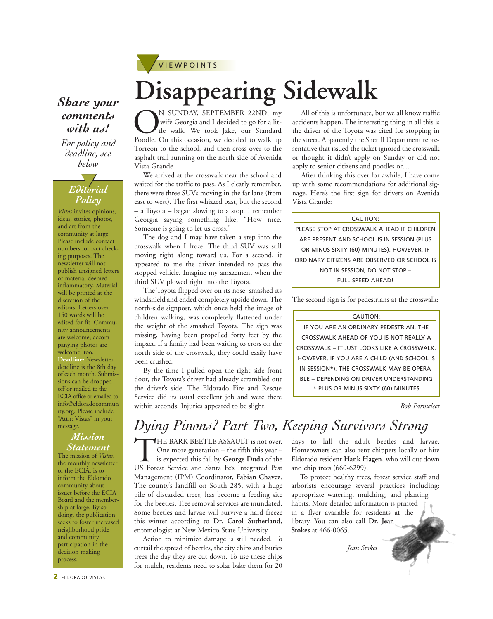

### *Share your* **Disappearing Sidewalk** *comments with us!*

*For policy and deadline, see below*

#### *Editorial Policy*  $/$

*Vistas* invites opinions, ideas, stories, photos, and art from the community at large. Please include contact numbers for fact checking purposes. The newsletter will not publish unsigned letters or material deemed inflammatory. Material will be printed at the discretion of the editors. Letters over 150 words will be edited for fit. Community announcements are welcome; accompanying photos are welcome, too. **Deadline:** Newsletter deadline is the 8th day of each month. Submissions can be dropped off or mailed to the ECIA office or emailed to info@eldoradocommun ity.org. Please include "Attn: Vistas" in your message.

#### *Mission Statement*

The mission of *Vistas*, the monthly newsletter of the ECIA, is to inform the Eldorado community about issues before the ECIA Board and the membership at large. By so doing, the publication seeks to foster increased neighborhood pride and community participation in the decision making process.

ON SUNDAY, SEPTEMBER 22ND, my<br>wife Georgia and I decided to go for a lit-<br>poodle. On this occasion, we decided to walk up wife Georgia and I decided to go for a little walk. We took Jake, our Standard Torreon to the school, and then cross over to the asphalt trail running on the north side of Avenida Vista Grande.

We arrived at the crosswalk near the school and waited for the traffic to pass. As I clearly remember, there were three SUVs moving in the far lane (from east to west). The first whizzed past, but the second – a Toyota – began slowing to a stop. I remember Georgia saying something like, "How nice. Someone is going to let us cross."

The dog and I may have taken a step into the crosswalk when I froze. The third SUV was still moving right along toward us. For a second, it appeared to me the driver intended to pass the stopped vehicle. Imagine my amazement when the third SUV plowed right into the Toyota.

The Toyota flipped over on its nose, smashed its windshield and ended completely upside down. The north-side signpost, which once held the image of children walking, was completely flattened under the weight of the smashed Toyota. The sign was missing, having been propelled forty feet by the impact. If a family had been waiting to cross on the north side of the crosswalk, they could easily have been crushed.

By the time I pulled open the right side front door, the Toyota's driver had already scrambled out the driver's side. The Eldorado Fire and Rescue Service did its usual excellent job and were there within seconds. Injuries appeared to be slight.

All of this is unfortunate, but we all know traffic accidents happen. The interesting thing in all this is the driver of the Toyota was cited for stopping in the street. Apparently the Sheriff Department representative that issued the ticket ignored the crosswalk or thought it didn't apply on Sunday or did not apply to senior citizens and poodles or…

After thinking this over for awhile, I have come up with some recommendations for additional signage. Here's the first sign for drivers on Avenida Vista Grande:

#### CAUTION:

PLEASE STOP AT CROSSWALK AHEAD IF CHILDREN ARE PRESENT AND SCHOOL IS IN SESSION (PLUS OR MINUS SIXTY (60) MINUTES). HOWEVER, IF ORDINARY CITIZENS ARE OBSERVED OR SCHOOL IS NOT IN SESSION, DO NOT STOP – FULL SPEED AHEAD!

The second sign is for pedestrians at the crosswalk:

#### CAUTION:

IF YOU ARE AN ORDINARY PEDESTRIAN, THE CROSSWALK AHEAD OF YOU IS NOT REALLY A CROSSWALK – IT JUST LOOKS LIKE A CROSSWALK. HOWEVER, IF YOU ARE A CHILD (AND SCHOOL IS IN SESSION\*), THE CROSSWALK MAY BE OPERA-BLE – DEPENDING ON DRIVER UNDERSTANDING \* PLUS OR MINUS SIXTY (60) MINUTES

*Bob Parmeleet*

### *Dying Pinons? Part Two, Keeping Survivors Strong*

THE BARK BEETLE ASSAULT is not over.<br>
One more generation – the fifth this year –<br>
is expected this fall by **George Duda** of the<br>
US Forest Service and Santa Fe's Integrated Pest One more generation – the fifth this year – is expected this fall by **George Duda** of the Management (IPM) Coordinator, **Fabian Chavez**. The county's landfill on South 285, with a huge pile of discarded trees, has become a feeding site for the beetles. Tree removal services are inundated. Some beetles and larvae will survive a hard freeze this winter according to **Dr. Carol Sutherland**, entomologist at New Mexico State University.

Action to minimize damage is still needed. To curtail the spread of beetles, the city chips and buries trees the day they are cut down. To use these chips for mulch, residents need to solar bake them for 20 days to kill the adult beetles and larvae. Homeowners can also rent chippers locally or hire Eldorado resident **Hank Hagen**, who will cut down and chip trees (660-6299).

To protect healthy trees, forest service staff and arborists encourage several practices including: appropriate watering, mulching, and planting habits. More detailed information is printed in a flyer available for residents at the library. You can also call **Dr. Jean Stokes** at 466-0065.

*Jean Stokes*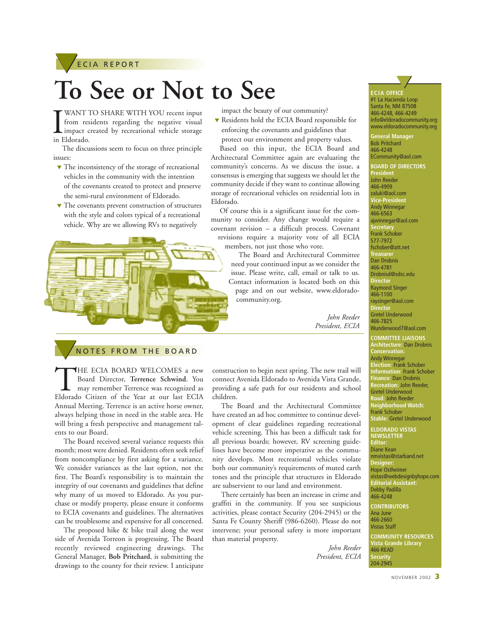

# **To See or Not to See**

WANT<br>
from res<br>
impact c<br>
in Eldorado. WANT TO SHARE WITH YOU recent input from residents regarding the negative visual impact created by recreational vehicle storage

The discussions seem to focus on three principle issues:

- ▼ The inconsistency of the storage of recreational vehicles in the community with the intention of the covenants created to protect and preserve the semi-rural environment of Eldorado.
- ▼ The covenants prevent construction of structures with the style and colors typical of a recreational vehicle. Why are we allowing RVs to negatively



impact the beauty of our community?

▼ Residents hold the ECIA Board responsible for enforcing the covenants and guidelines that protect our environment and property values.

Based on this input, the ECIA Board and Architectural Committee again are evaluating the community's concerns. As we discuss the issue, a consensus is emerging that suggests we should let the community decide if they want to continue allowing storage of recreational vehicles on residential lots in Eldorado.

Of course this is a significant issue for the community to consider. Any change would require a covenant revision – a difficult process. Covenant revisions require a majority vote of all ECIA members, not just those who vote.

> The Board and Architectural Committee need your continued input as we consider the issue. Please write, call, email or talk to us. Contact information is located both on this page and on our website, www.eldoradocommunity.org.

> > *John Reeder President, ECIA*

#### **ECIA OFFICE**  <u></u> #1 La Hacienda Loop

Santa Fe, NM 87508 466-4248, 466-4249 info@eldoradocommunity.org www.eldoradocommunity.org

**General Manager**  Bob Pritchard 466-4248 ECommunity@aol.com **BOARD OF DIRECTORS President**  John Reeder 466-4909 zaluki@aol.com **Vice-President**  Andy Winnegar 466-6563 ajwinnegar@aol.com **Secretary**  Frank Schober 577-7972 fschober@att.net **Treasure** Dan Drobnis 466-4781 Drobnisd@sdsc.edu **Director** Raymond Singer 466-1100 raysinger@aol.com **Directo** Gretel Underwood 466-7825 Wunderwood7@aol.com

**COMMITTEE LIAISONS Architecture:** Dan Drobnis **Conservation:** Andy Winnegar **Election:** Frank Schober **Information:** Frank Schober **Finance:** Dan Drobnis **Recreation:** John Reeder, Gretel Underwood **Road:** John Reeder **Neighborhood Watch:** Frank Schober **Stable:** Gretel Underwood

**ELDORADO VISTAS NEWSLETTER Editor:** Diane Kean nmvistas@starband.net **Designer:** Hope Ostheimer vistas@webdesignbyhope.com **Editorial Assistant:** Debby Padilla 466-4248

**CONTRIBUTORS** Ana June 466-2660 Vistas Staff **COMMUNITY RESOURCES Vista Grande Library**  466-READ **Security**  204-2945

#### **NOTES FROM THE BOARD**

THE ECIA BOARD WELCOMES a new<br>Board Director, Terrence Schwind. You<br>may remember Terrence was recognized as<br>Eldorado Citizen of the Year at our last ECIA Board Director, **Terrence Schwind**. You may remember Terrence was recognized as Annual Meeting. Terrence is an active horse owner, always helping those in need in the stable area. He will bring a fresh perspective and management talents to our Board.

The Board received several variance requests this month; most were denied. Residents often seek relief from noncompliance by first asking for a variance. We consider variances as the last option, not the first. The Board's responsibility is to maintain the integrity of our covenants and guidelines that define why many of us moved to Eldorado. As you purchase or modify property, please ensure it conforms to ECIA covenants and guidelines. The alternatives can be troublesome and expensive for all concerned.

The proposed hike & bike trail along the west side of Avenida Torreon is progressing. The Board recently reviewed engineering drawings. The General Manager, **Bob Pritchard**, is submitting the drawings to the county for their review. I anticipate construction to begin next spring. The new trail will connect Avenida Eldorado to Avenida Vista Grande, providing a safe path for our residents and school children.

The Board and the Architectural Committee have created an ad hoc committee to continue development of clear guidelines regarding recreational vehicle screening. This has been a difficult task for all previous boards; however, RV screening guidelines have become more imperative as the community develops. Most recreational vehicles violate both our community's requirements of muted earth tones and the principle that structures in Eldorado are subservient to our land and environment.

There certainly has been an increase in crime and graffiti in the community. If you see suspicious activities, please contact Security (204-2945) or the Santa Fe County Sheriff (986-6260). Please do not intervene; your personal safety is more important than material property.

> *John Reeder President, ECIA*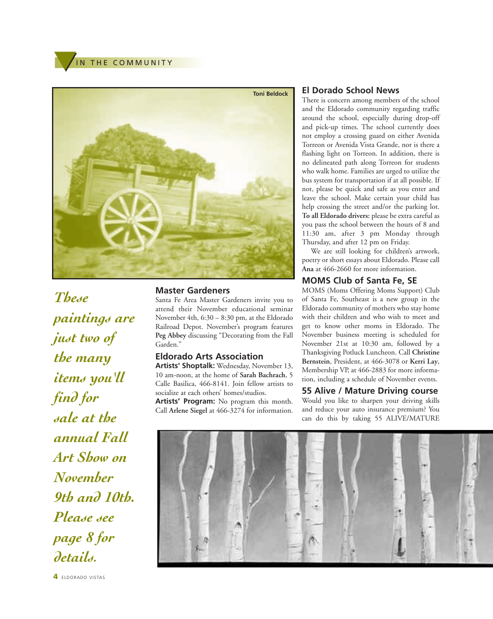IN THE COMMUNITY



*These paintings are just two of the many items you'll find for sale at the annual Fall Art Show on November 9th and 10th. Please see page 8 for details.*

**4** ELDORADO VISTAS

#### **Master Gardeners**

Santa Fe Area Master Gardeners invite you to attend their November educational seminar November 4th, 6:30 – 8:30 pm, at the Eldorado Railroad Depot. November's program features **Peg Abbey** discussing "Decorating from the Fall Garden."

#### **Eldorado Arts Association**

**Artists' Shoptalk:** Wednesday, November 13, 10 am-noon, at the home of **Sarah Bachrach**, 5 Calle Basilica, 466-8141. Join fellow artists to socialize at each others' homes/studios. **Artists' Program:** No program this month. Call **Arlene Siegel** at 466-3274 for information.

#### **El Dorado School News**

There is concern among members of the school and the Eldorado community regarding traffic around the school, especially during drop-off and pick-up times. The school currently does not employ a crossing guard on either Avenida Torreon or Avenida Vista Grande, nor is there a flashing light on Torreon. In addition, there is no delineated path along Torreon for students who walk home. Families are urged to utilize the bus system for transportation if at all possible. If not, please be quick and safe as you enter and leave the school. Make certain your child has help crossing the street and/or the parking lot. **To all Eldorado drivers:** please be extra careful as you pass the school between the hours of 8 and 11:30 am, after 3 pm Monday through Thursday, and after 12 pm on Friday.

We are still looking for children's artwork, poetry or short essays about Eldorado. Please call **Ana** at 466-2660 for more information.

#### **MOMS Club of Santa Fe, SE**

MOMS (Moms Offering Moms Support) Club of Santa Fe, Southeast is a new group in the Eldorado community of mothers who stay home with their children and who wish to meet and get to know other moms in Eldorado. The November business meeting is scheduled for November 21st at 10:30 am, followed by a Thanksgiving Potluck Luncheon. Call **Christine Bernstein**, President, at 466-3078 or **Kerri Lay**, Membership VP, at 466-2883 for more information, including a schedule of November events.

#### **55 Alive / Mature Driving course**

Would you like to sharpen your driving skills and reduce your auto insurance premium? You can do this by taking 55 ALIVE/MATURE

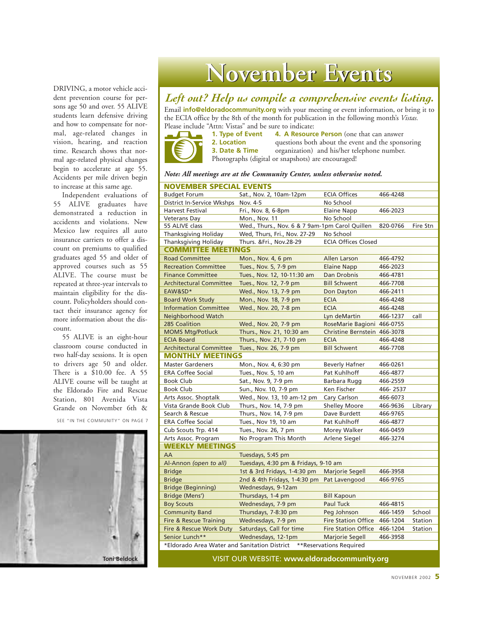DRIVING, a motor vehicle accident prevention course for persons age 50 and over. 55 ALIVE students learn defensive driving and how to compensate for normal, age-related changes in vision, hearing, and reaction time. Research shows that normal age-related physical changes begin to accelerate at age 55. Accidents per mile driven begin to increase at this same age.

Independent evaluations of 55 ALIVE graduates have demonstrated a reduction in accidents and violations. New Mexico law requires all auto insurance carriers to offer a discount on premiums to qualified graduates aged 55 and older of approved courses such as 55 ALIVE. The course must be repeated at three-year intervals to maintain eligibility for the discount. Policyholders should contact their insurance agency for more information about the discount.

55 ALIVE is an eight-hour classroom course conducted in two half-day sessions. It is open to drivers age 50 and older. There is a \$10.00 fee. A 55 ALIVE course will be taught at the Eldorado Fire and Rescue Station, 801 Avenida Vista Grande on November 6th &

SEE "IN THE COMMUNITY" ON PAGE 7



## **November Events mber Events**

#### *Left out? Help us compile a comprehensive events listing.*

Email **info@eldoradocommunity.org** with your meeting or event information, or bring it to the ECIA office by the 8th of the month for publication in the following month's *Vistas.* Please include "Attn: Vistas" and be sure to indicate:<br>1. Type of Event 4. A Resource



**4. A Resource Person** (one that can answer **2. Location** questions both about the event and the sponsoring **3. Date & Time** organization) and his/her telephone number. organization) and his/her telephone number. Photographs (digital or snapshots) are encouraged!

*Note: All meetings are at the Community Center, unless otherwise noted.*

| <b>NOVEMBER SPECIAL EVENTS</b>               |                                                |                              |          |          |
|----------------------------------------------|------------------------------------------------|------------------------------|----------|----------|
| <b>Budget Forum</b>                          | Sat., Nov. 2, 10am-12pm                        | <b>ECIA Offices</b>          | 466-4248 |          |
| District In-Service Wkshps                   | Nov. 4-5                                       | No School                    |          |          |
| Harvest Festival                             | Fri., Nov. 8, 6-8pm                            | <b>Elaine Napp</b>           | 466-2023 |          |
| Veterans Day                                 | Mon., Nov. 11                                  | No School                    |          |          |
| 55 ALIVE class                               | Wed., Thurs., Nov. 6 & 7 9am-1pm Carol Quillen |                              | 820-0766 | Fire Stn |
| <b>Thanksgiving Holiday</b>                  | Wed, Thurs, Fri., Nov. 27-29                   | No School                    |          |          |
| <b>Thanksgiving Holiday</b>                  | Thurs. & Fri., Nov. 28-29                      | <b>ECIA Offices Closed</b>   |          |          |
| <b>COMMITTEE MEETINGS</b>                    |                                                |                              |          |          |
| <b>Road Committee</b>                        | Mon., Nov. 4, 6 pm                             | Allen Larson                 | 466-4792 |          |
| <b>Recreation Committee</b>                  | Tues., Nov. 5, 7-9 pm                          | <b>Elaine Napp</b>           | 466-2023 |          |
| <b>Finance Committee</b>                     | Tues., Nov. 12, 10-11:30 am                    | Dan Drobnis                  | 466-4781 |          |
| <b>Architectural Committee</b>               | Tues., Nov. 12, 7-9 pm                         | <b>Bill Schwent</b>          | 466-7708 |          |
| EAW&SD*                                      | Wed., Nov. 13, 7-9 pm                          | Don Dayton                   | 466-2411 |          |
| <b>Board Work Study</b>                      | Mon., Nov. 18, 7-9 pm                          | <b>ECIA</b>                  | 466-4248 |          |
| <b>Information Committee</b>                 | Wed., Nov. 20, 7-8 pm                          | <b>ECIA</b>                  | 466-4248 |          |
| Neighborhood Watch                           |                                                | Lyn deMartin                 | 466-1237 | call     |
| 285 Coalition                                | Wed., Nov. 20, 7-9 pm                          | RoseMarie Bagioni 466-0755   |          |          |
| <b>MOMS Mtg/Potluck</b>                      | Thurs., Nov. 21, 10:30 am                      | Christine Bernstein 466-3078 |          |          |
| <b>ECIA Board</b>                            | Thurs., Nov. 21, 7-10 pm                       | <b>ECIA</b>                  | 466-4248 |          |
| <b>Architectural Committee</b>               | Tues., Nov. 26, 7-9 pm                         | <b>Bill Schwent</b>          | 466-7708 |          |
| <b>MONTHLY MEETINGS</b>                      |                                                |                              |          |          |
| <b>Master Gardeners</b>                      | Mon., Nov. 4, 6:30 pm                          | <b>Beverly Hafner</b>        | 466-0261 |          |
| <b>ERA Coffee Social</b>                     | Tues., Nov. 5, 10 am                           | Pat Kuhlhoff                 | 466-4877 |          |
| Book Club                                    | Sat., Nov. 9, 7-9 pm                           | Barbara Rugg                 | 466-2559 |          |
| Book Club                                    | Sun., Nov. 10, 7-9 pm                          | Ken Fischer                  | 466-2537 |          |
| Arts Assoc. Shoptalk                         | Wed., Nov. 13, 10 am-12 pm                     | Cary Carlson                 | 466-6073 |          |
| Vista Grande Book Club                       | Thurs., Nov. 14, 7-9 pm                        | <b>Shelley Moore</b>         | 466-9636 | Library  |
| Search & Rescue                              | Thurs., Nov. 14, 7-9 pm                        | Dave Burdett                 | 466-9765 |          |
| <b>ERA Coffee Social</b>                     | Tues., Nov 19, 10 am                           | Pat Kuhlhoff                 | 466-4877 |          |
| Cub Scouts Trp. 414                          | Tues., Nov. 26, 7 pm                           | Morey Walker                 | 466-0459 |          |
| Arts Assoc. Program                          | No Program This Month                          | Arlene Siegel                | 466-3274 |          |
| <b>WEEKLY MEETINGS</b>                       |                                                |                              |          |          |
| AA                                           | Tuesdays, 5:45 pm                              |                              |          |          |
| Al-Annon (open to all)                       | Tuesdays, 4:30 pm & Fridays, 9-10 am           |                              |          |          |
| <b>Bridge</b>                                | 1st & 3rd Fridays, 1-4:30 pm                   | Marjorie Segell              | 466-3958 |          |
| <b>Bridge</b>                                | 2nd & 4th Fridays, 1-4:30 pm                   | Pat Lavengood                | 466-9765 |          |
| <b>Bridge (Beginning)</b>                    | Wednesdays, 9-12am                             |                              |          |          |
| Bridge (Mens')                               | Thursdays, 1-4 pm                              | <b>Bill Kapoun</b>           |          |          |
| <b>Boy Scouts</b>                            | Wednesdays, 7-9 pm                             | Paul Tuck                    | 466-4815 |          |
| <b>Community Band</b>                        | Thursdays, 7-8:30 pm                           | Peg Johnson                  | 466-1459 | School   |
| Fire & Rescue Training                       | Wednesdays, 7-9 pm                             | <b>Fire Station Office</b>   | 466-1204 | Station  |
| Fire & Rescue Work Duty                      | Saturdays, Call for time                       | <b>Fire Station Office</b>   | 466-1204 | Station  |
| Senior Lunch**                               | Wednesdays, 12-1pm                             | Marjorie Segell              | 466-3958 |          |
| *Eldorado Area Water and Sanitation District |                                                | **Reservations Required      |          |          |
|                                              |                                                |                              |          |          |

VISIT OUR WEBSITE: **www.eldoradocommunity.org**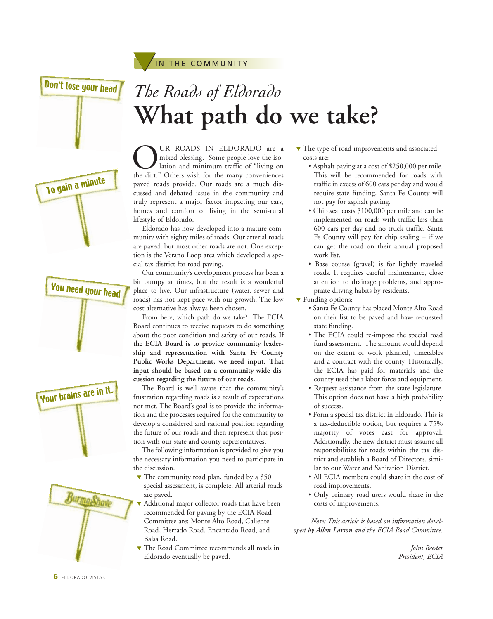Don't lose your head

To gain a minute

*The Roads of Eldorado* **What path do we take?**

OUR ROADS IN ELDORADO are a<br>mixed blessing. Some people love the iso-<br>lation and minimum traffic of "living on<br>the dirt." Others wish for the many conveniences mixed blessing. Some people love the isolation and minimum traffic of "living on paved roads provide. Our roads are a much discussed and debated issue in the community and truly represent a major factor impacting our cars, homes and comfort of living in the semi-rural lifestyle of Eldorado.

IN THE COMMUNITY

Eldorado has now developed into a mature community with eighty miles of roads. Our arterial roads are paved, but most other roads are not. One exception is the Verano Loop area which developed a special tax district for road paving.

Our community's development process has been a bit bumpy at times, but the result is a wonderful place to live. Our infrastructure (water, sewer and roads) has not kept pace with our growth. The low cost alternative has always been chosen.

From here, which path do we take? The ECIA Board continues to receive requests to do something about the poor condition and safety of our roads. **If the ECIA Board is to provide community leadership and representation with Santa Fe County Public Works Department, we need input. That input should be based on a community-wide discussion regarding the future of our roads.** 

The Board is well aware that the community's frustration regarding roads is a result of expectations not met. The Board's goal is to provide the information and the processes required for the community to develop a considered and rational position regarding the future of our roads and then represent that position with our state and county representatives.

The following information is provided to give you the necessary information you need to participate in the discussion.

- $\blacktriangledown$  The community road plan, funded by a \$50 special assessment, is complete. All arterial roads are paved.
- Additional major collector roads that have been recommended for paving by the ECIA Road Committee are: Monte Alto Road, Caliente Road, Herrado Road, Encantado Road, and Balsa Road.
- ▼ The Road Committee recommends all roads in Eldorado eventually be paved.
- ▼ The type of road improvements and associated costs are:
	- Asphalt paving at a cost of \$250,000 per mile. This will be recommended for roads with traffic in excess of 600 cars per day and would require state funding. Santa Fe County will not pay for asphalt paving.
	- Chip seal costs \$100,000 per mile and can be implemented on roads with traffic less than 600 cars per day and no truck traffic. Santa Fe County will pay for chip sealing – if we can get the road on their annual proposed work list.
	- Base course (gravel) is for lightly traveled roads. It requires careful maintenance, close attention to drainage problems, and appropriate driving habits by residents.
- ▼ Funding options:
	- Santa Fe County has placed Monte Alto Road on their list to be paved and have requested state funding.
	- The ECIA could re-impose the special road fund assessment. The amount would depend on the extent of work planned, timetables and a contract with the county. Historically, the ECIA has paid for materials and the county used their labor force and equipment.
	- Request assistance from the state legislature. This option does not have a high probability of success.
	- Form a special tax district in Eldorado. This is a tax-deductible option, but requires a 75% majority of votes cast for approval. Additionally, the new district must assume all responsibilities for roads within the tax district and establish a Board of Directors, similar to our Water and Sanitation District.
	- All ECIA members could share in the cost of road improvements.
	- Only primary road users would share in the costs of improvements.

*Note: This article is based on information developed by Allen Larson and the ECIA Road Committee.*

> *John Reeder President, ECIA*



Your brains are in it.

You need your head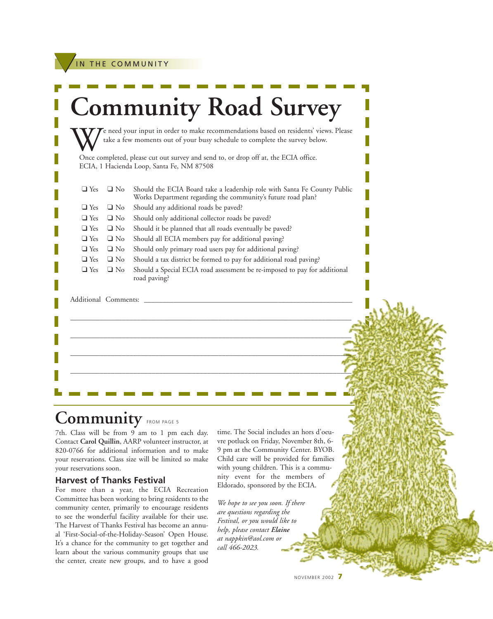IN THE COMMUNITY

|            |                      | take a few moments out of your busy schedule to complete the survey below.                                                               |
|------------|----------------------|------------------------------------------------------------------------------------------------------------------------------------------|
|            |                      | Once completed, please cut out survey and send to, or drop off at, the ECIA office.<br>ECIA, 1 Hacienda Loop, Santa Fe, NM 87508         |
| $\Box$ Yes | $\Box$ No            | Should the ECIA Board take a leadership role with Santa Fe County Public<br>Works Department regarding the community's future road plan? |
| $\Box$ Yes | $\Box$ No            | Should any additional roads be paved?                                                                                                    |
| $\Box$ Yes | $\Box$ No            | Should only additional collector roads be paved?                                                                                         |
| $\Box$ Yes | $\Box$ No            | Should it be planned that all roads eventually be paved?                                                                                 |
| $\Box$ Yes | $\Box$ No            | Should all ECIA members pay for additional paving?                                                                                       |
| $\Box$ Yes | $\Box$ No            | Should only primary road users pay for additional paving?                                                                                |
| $\Box$ Yes | $\Box$ No            | Should a tax district be formed to pay for additional road paving?                                                                       |
| $\Box$ Yes | $\Box$ No            | Should a Special ECIA road assessment be re-imposed to pay for additional<br>road paving?                                                |
|            | Additional Comments: |                                                                                                                                          |
|            |                      |                                                                                                                                          |
|            |                      |                                                                                                                                          |
|            |                      |                                                                                                                                          |

## Community FROM PAGE 5

7th. Class will be from 9 am to 1 pm each day. Contact **Carol Quillin**, AARP volunteer instructor, at 820-0766 for additional information and to make your reservations. Class size will be limited so make your reservations soon.

#### **Harvest of Thanks Festival**

For more than a year, the ECIA Recreation Committee has been working to bring residents to the community center, primarily to encourage residents to see the wonderful facility available for their use. The Harvest of Thanks Festival has become an annual 'First-Social-of-the-Holiday-Season' Open House. It's a chance for the community to get together and learn about the various community groups that use the center, create new groups, and to have a good

time. The Social includes an hors d'oeuvre potluck on Friday, November 8th, 6- 9 pm at the Community Center. BYOB. Child care will be provided for families with young children. This is a community event for the members of Eldorado, sponsored by the ECIA.

*We hope to see you soon. If there are questions regarding the Festival, or you would like to help, please contact Elaine at nappkin@aol.com or call 466-2023.*